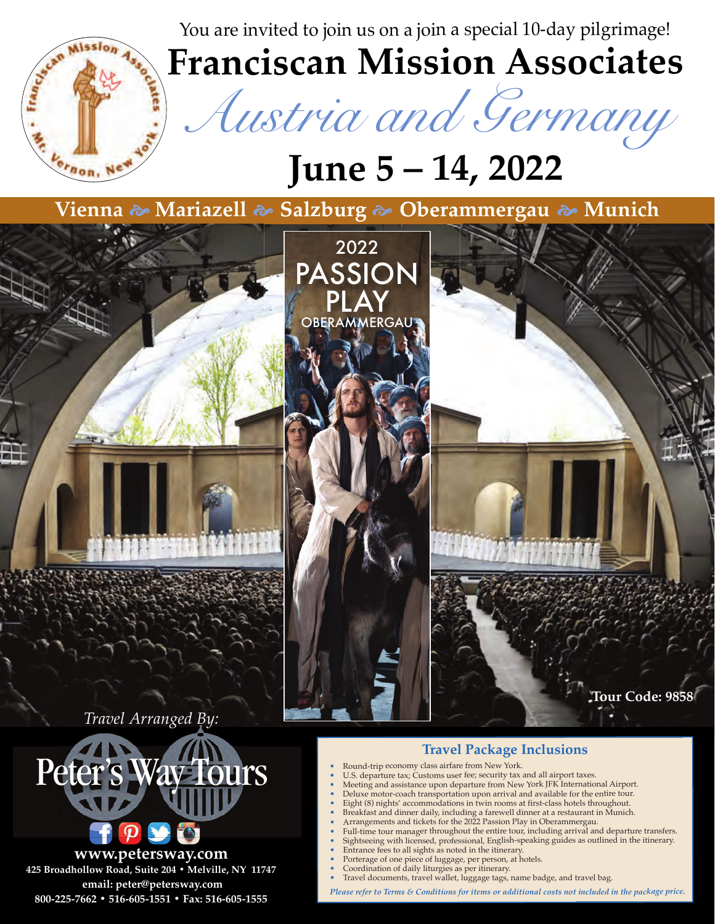You are invited to join us on a join a special 10-day pilgrimage!



**www.petersway.com 425 Broadhollow Road, Suite 204 • Melville, NY 11747 email: peter@petersway.com 800-225-7662 • 516-605-1551 • Fax: 516-605-1555**

**Franciscan Mission Associates**

*Austria and Germany*

# **June 5 – 14, 2022**

**Vienna Mariazell Salzburg Oberammergau Munich**



•

- • Full-time tour manager throughout the entire tour, including arrival and departure transfers.
	- Sightseeing with licensed, professional, English-speaking guides as outlined in the itinerary.
	- Entrance fees to all sights as noted in the itinerary.
	- Porterage of one piece of luggage, per person, at hotels.
	- Coordination of daily liturgies as per itinerary.
	- Travel documents, travel wallet, luggage tags, name badge, and travel bag.

*Please refer to Terms & Conditions for items or additional costs not included in the package price.*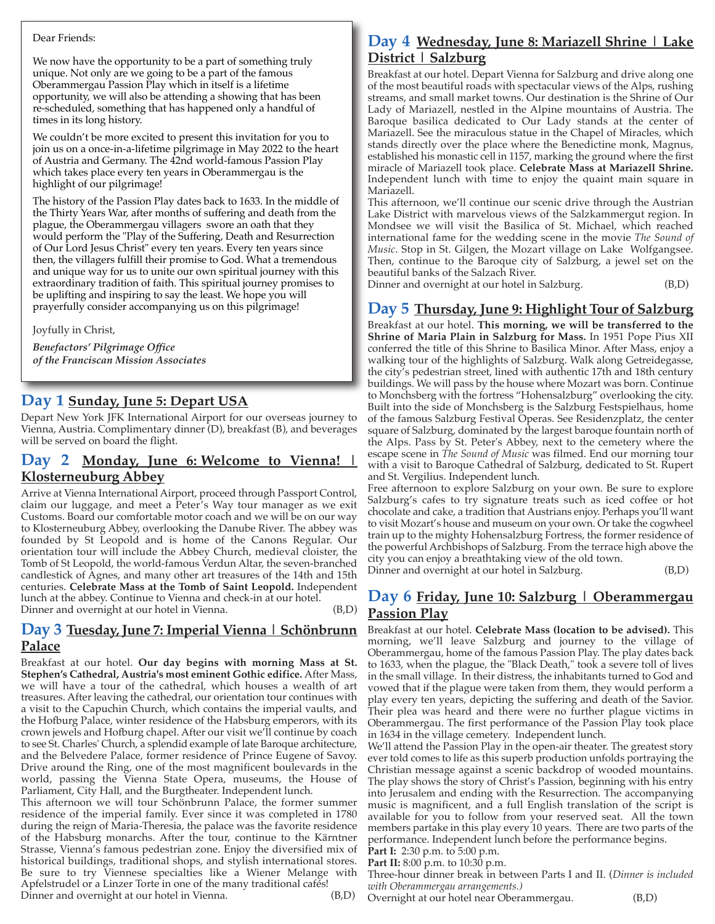#### Dear Friends:

We now have the opportunity to be a part of something truly unique. Not only are we going to be a part of the famous Oberammergau Passion Play which in itself is a lifetime opportunity, we will also be attending a showing that has been re-scheduled, something that has happened only a handful of times in its long history.

We couldn't be more excited to present this invitation for you to join us on a once-in-a-lifetime pilgrimage in May 2022 to the heart of Austria and Germany. The 42nd world-famous Passion Play which takes place every ten years in Oberammergau is the highlight of our pilgrimage!

The history of the Passion Play dates back to 1633. In the middle of the Thirty Years War, after months of suffering and death from the plague, the Oberammergau villagers swore an oath that they would perform the "Play of the Suffering, Death and Resurrection of Our Lord Jesus Christ" every ten years. Every ten years since then, the villagers fulfill their promise to God. What a tremendous and unique way for us to unite our own spiritual journey with this extraordinary tradition of faith. This spiritual journey promises to be uplifting and inspiring to say the least. We hope you will prayerfully consider accompanying us on this pilgrimage!

Joyfully in Christ,

*Benefactors' Pilgrimage Office of the Franciscan Mission Associates*

## **Day 1 Sunday, June 5: Depart USA**

Depart New York JFK International Airport for our overseas journey to Vienna, Austria. Complimentary dinner (D), breakfast (B), and beverages will be served on board the flight.

### **Day 2 Monday, June 6: Welcome to Vienna! | Klosterneuburg Abbey**

Arrive at Vienna International Airport, proceed through Passport Control, claim our luggage, and meet a Peter's Way tour manager as we exit Customs. Board our comfortable motor coach and we will be on our way to Klosterneuburg Abbey, overlooking the Danube River. The abbey was founded by St Leopold and is home of the Canons Regular. Our orientation tour will include the Abbey Church, medieval cloister, the Tomb of St Leopold, the world-famous Verdun Altar, the seven-branched candlestick of Agnes, and many other art treasures of the 14th and 15th centuries. **Celebrate Mass at the Tomb of Saint Leopold.** Independent lunch at the abbey. Continue to Vienna and check-in at our hotel. Dinner and overnight at our hotel in Vienna. (B,D)

#### **Day 3 Tuesday, June 7: Imperial Vienna | Schönbrunn Palace**

Breakfast at our hotel. **Our day begins with morning Mass at St. Stephen's Cathedral, Austria's most eminent Gothic edifice.** After Mass, we will have a tour of the cathedral, which houses a wealth of art treasures. After leaving the cathedral, our orientation tour continues with a visit to the Capuchin Church, which contains the imperial vaults, and the Hofburg Palace, winter residence of the Habsburg emperors, with its crown jewels and Hofburg chapel. After our visit we'll continue by coach to see St. Charles' Church, a splendid example of late Baroque architecture, and the Belvedere Palace, former residence of Prince Eugene of Savoy. Drive around the Ring, one of the most magnificent boulevards in the world, passing the Vienna State Opera, museums, the House of Parliament, City Hall, and the Burgtheater. Independent lunch.

This afternoon we will tour Schönbrunn Palace, the former summer residence of the imperial family. Ever since it was completed in 1780 during the reign of Maria-Theresia, the palace was the favorite residence of the Habsburg monarchs. After the tour, continue to the Kärntner Strasse, Vienna's famous pedestrian zone. Enjoy the diversified mix of historical buildings, traditional shops, and stylish international stores. Be sure to try Viennese specialties like a Wiener Melange with Apfelstrudel or a Linzer Torte in one of the many traditional cafés! Dinner and overnight at our hotel in Vienna. (B,D)

# **Day 4 Wednesday, June 8: Mariazell Shrine | Lake District | Salzburg**

Breakfast at our hotel. Depart Vienna for Salzburg and drive along one of the most beautiful roads with spectacular views of the Alps, rushing streams, and small market towns. Our destination is the Shrine of Our Lady of Mariazell, nestled in the Alpine mountains of Austria. The Baroque basilica dedicated to Our Lady stands at the center of Mariazell. See the miraculous statue in the Chapel of Miracles, which stands directly over the place where the Benedictine monk, Magnus, established his monastic cell in 1157, marking the ground where the first miracle of Mariazell took place. **Celebrate Mass at Mariazell Shrine.** Independent lunch with time to enjoy the quaint main square in Mariazell.

This afternoon, we'll continue our scenic drive through the Austrian Lake District with marvelous views of the Salzkammergut region. In Mondsee we will visit the Basilica of St. Michael, which reached international fame for the wedding scene in the movie *The Sound of Music*. Stop in St. Gilgen, the Mozart village on Lake Wolfgangsee. Then, continue to the Baroque city of Salzburg, a jewel set on the beautiful banks of the Salzach River.

Dinner and overnight at our hotel in Salzburg. (B,D)

#### **Day 5 Thursday, June 9: Highlight Tour of Salzburg**

Breakfast at our hotel. **This morning, we will be transferred to the Shrine of Maria Plain in Salzburg for Mass.** In 1951 Pope Pius XII conferred the title of this Shrine to Basilica Minor. After Mass, enjoy a walking tour of the highlights of Salzburg. Walk along Getreidegasse, the city's pedestrian street, lined with authentic 17th and 18th century buildings. We will pass by the house where Mozart was born. Continue to Monchsberg with the fortress "Hohensalzburg" overlooking the city. Built into the side of Monchsberg is the Salzburg Festspielhaus, home of the famous Salzburg Festival Operas. See Residenzplatz, the center square of Salzburg, dominated by the largest baroque fountain north of the Alps. Pass by St. Peter's Abbey, next to the cemetery where the escape scene in *The Sound of Music* was filmed. End our morning tour with a visit to Baroque Cathedral of Salzburg, dedicated to St. Rupert and St. Vergilius. Independent lunch.

Free afternoon to explore Salzburg on your own. Be sure to explore Salzburg's cafes to try signature treats such as iced coffee or hot chocolate and cake, a tradition that Austrians enjoy. Perhaps you'll want to visit Mozart's house and museum on your own. Or take the cogwheel train up to the mighty Hohensalzburg Fortress, the former residence of the powerful Archbishops of Salzburg. From the terrace high above the city you can enjoy a breathtaking view of the old town. Dinner and overnight at our hotel in Salzburg. (B,D)

#### **Day 6 Friday, June 10: Salzburg | Oberammergau Passion Play**

Breakfast at our hotel. **Celebrate Mass (location to be advised).** This morning, we'll leave Salzburg and journey to the village of Oberammergau, home of the famous Passion Play. The play dates back to 1633, when the plague, the "Black Death," took a severe toll of lives in the small village. In their distress, the inhabitants turned to God and vowed that if the plague were taken from them, they would perform a play every ten years, depicting the suffering and death of the Savior. Their plea was heard and there were no further plague victims in Oberammergau. The first performance of the Passion Play took place in 1634 in the village cemetery. Independent lunch.

We'll attend the Passion Play in the open-air theater. The greatest story ever told comes to life as this superb production unfolds portraying the Christian message against a scenic backdrop of wooded mountains. The play shows the story of Christ's Passion, beginning with his entry into Jerusalem and ending with the Resurrection. The accompanying music is magnificent, and a full English translation of the script is available for you to follow from your reserved seat. All the town members partake in this play every 10 years. There are two parts of the performance. Independent lunch before the performance begins.

**Part I:** 2:30 p.m. to 5:00 p.m.

**Part II:** 8:00 p.m. to 10:30 p.m.

Three-hour dinner break in between Parts I and II. (*Dinner is included with Oberammergau arrangements.)* 

Overnight at our hotel near Oberammergau. (B,D)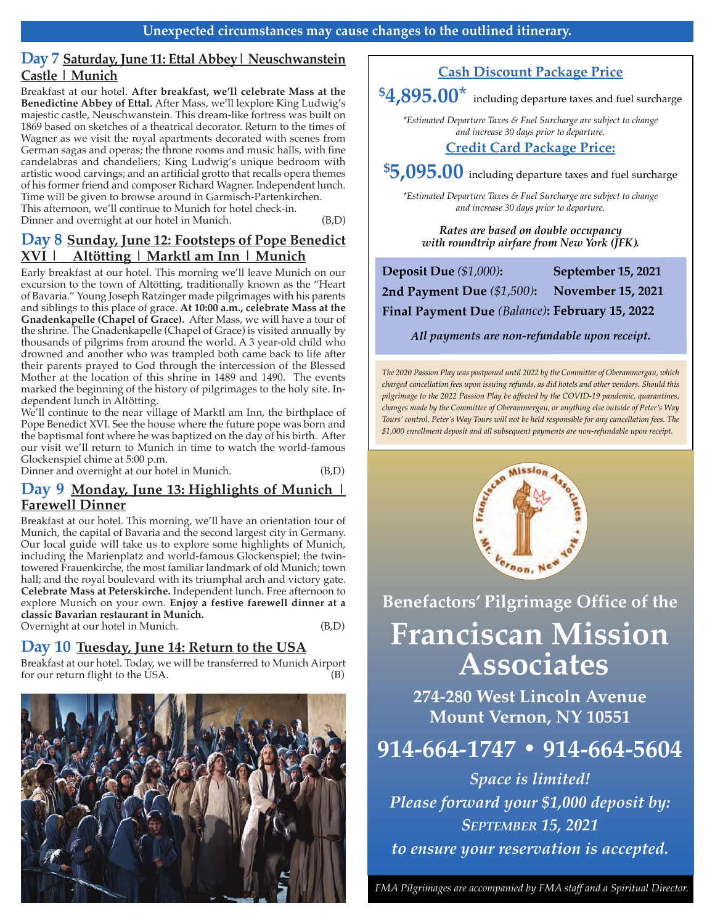# **Day 7 Saturday, June 11: Ettal Abbey| Neuschwanstein Castle | Munich**

Breakfast at our hotel. **After breakfast, we'll celebrate Mass at the Benedictine Abbey of Ettal.** After Mass, we'll lexplore King Ludwig's majestic castle, Neuschwanstein. This dream-like fortress was built on 1869 based on sketches of a theatrical decorator. Return to the times of Wagner as we visit the royal apartments decorated with scenes from German sagas and operas; the throne rooms and music halls, with fine candelabras and chandeliers; King Ludwig's unique bedroom with artistic wood carvings; and an artificial grotto that recalls opera themes of his former friend and composer Richard Wagner. Independent lunch. Time will be given to browse around in Garmisch-Partenkirchen. This afternoon, we'll continue to Munich for hotel check-in. Dinner and overnight at our hotel in Munich. (B,D)

# **Day 8 Sunday, June 12: Footsteps of Pope Benedict XVI | Altötting** *|* **Marktl am Inn** *|* **Munich**

Early breakfast at our hotel. This morning we'll leave Munich on our excursion to the town of Altötting, traditionally known as the "Heart of Bavaria." Young Joseph Ratzinger made pilgrimages with his parents and siblings to this place of grace. **At 10:00 a.m., celebrate Mass at the Gnadenkapelle (Chapel of Grace).** After Mass, we will have a tour of the shrine. The Gnadenkapelle (Chapel of Grace) is visited annually by thousands of pilgrims from around the world. A 3 year-old child who drowned and another who was trampled both came back to life after their parents prayed to God through the intercession of the Blessed Mother at the location of this shrine in 1489 and 1490. The events marked the beginning of the history of pilgrimages to the holy site. Independent lunch in Altötting.

We'll continue to the near village of Marktl am Inn, the birthplace of Pope Benedict XVI. See the house where the future pope was born and the baptismal font where he was baptized on the day of his birth. After our visit we'll return to Munich in time to watch the world-famous Glockenspiel chime at 5:00 p.m.

Dinner and overnight at our hotel in Munich. (B,D)

### **Day 9 Monday, June 13: Highlights of Munich | Farewell Dinner**

Breakfast at our hotel. This morning, we'll have an orientation tour of Munich, the capital of Bavaria and the second largest city in Germany. Our local guide will take us to explore some highlights of Munich, including the Marienplatz and world-famous Glockenspiel; the twintowered Frauenkirche, the most familiar landmark of old Munich; town hall; and the royal boulevard with its triumphal arch and victory gate. **Celebrate Mass at Peterskirche.** Independent lunch. Free afternoon to explore Munich on your own. **Enjoy a festive farewell dinner at a classic Bavarian restaurant in Munich.**  Overnight at our hotel in Munich. (B,D)

# **Day 10 Tuesday, June 14: Return to the USA**

Breakfast at our hotel. Today, we will be transferred to Munich Airport for our return flight to the USA.



# **Cash Discount Package Price**

**\$4,895.00\*** including departure taxes and fuel surcharge

*\*Estimated Departure Taxes & Fuel Surcharge are subject to change and increase 30 days prior to departure.*

# **Credit Card Package Price:**

**\$5,095.00** including departure taxes and fuel surcharge

*\*Estimated Departure Taxes & Fuel Surcharge are subject to change and increase 30 days prior to departure.*

*rates are based on double occupancy with roundtrip airfare from New York (JFK).* 

| Deposit Due (\$1,000):                         | September 15, 2021       |
|------------------------------------------------|--------------------------|
| 2nd Payment Due (\$1,500):                     | <b>November 15, 2021</b> |
| Final Payment Due (Balance): February 15, 2022 |                          |

*All payments are non-refundable upon receipt.*

*The 2020 Passion Play was postponed until 2022 by the Committee of Oberammergau, which charged cancellation fees upon issuing refunds, as did hotels and other vendors. Should this pilgrimage to the 2022 Passion Play be affected by the COVID-19 pandemic, quarantines, changes made by the Committee of Oberammergau, or anything else outside of Peter's Way Tours' control, Peter's Way Tours will not be held responsible for any cancellation fees. The \$1,000 enrollment deposit and all subsequent payments are non-refundable upon receipt.*



**Benefactors' Pilgrimage Office of the**

# **Franciscan Mission Associates**

**274-280 West Lincoln Avenue Mount Vernon, NY 10551**

# **914-664-1747 • 914-664-5604**

*Space is limited! Please forward your \$1,000 deposit by: SePTeMBer 15, 2021 to ensure your reservation is accepted.*